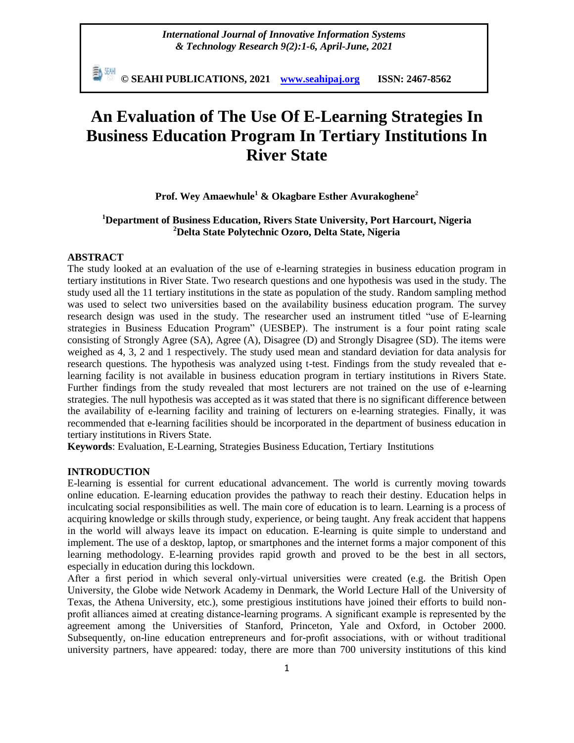勤酬 **© SEAHI PUBLICATIONS, 2021 [www.seahipaj.org](http://www.seahipaj.org/) ISSN: 2467-8562**

# **An Evaluation of The Use Of E-Learning Strategies In Business Education Program In Tertiary Institutions In River State**

**Prof. Wey Amaewhule<sup>1</sup> & Okagbare Esther Avurakoghene<sup>2</sup>**

# **<sup>1</sup>Department of Business Education, Rivers State University, Port Harcourt, Nigeria <sup>2</sup>Delta State Polytechnic Ozoro, Delta State, Nigeria**

#### **ABSTRACT**

The study looked at an evaluation of the use of e-learning strategies in business education program in tertiary institutions in River State. Two research questions and one hypothesis was used in the study. The study used all the 11 tertiary institutions in the state as population of the study. Random sampling method was used to select two universities based on the availability business education program. The survey research design was used in the study. The researcher used an instrument titled "use of E-learning strategies in Business Education Program" (UESBEP). The instrument is a four point rating scale consisting of Strongly Agree (SA), Agree (A), Disagree (D) and Strongly Disagree (SD). The items were weighed as 4, 3, 2 and 1 respectively. The study used mean and standard deviation for data analysis for research questions. The hypothesis was analyzed using t-test. Findings from the study revealed that elearning facility is not available in business education program in tertiary institutions in Rivers State. Further findings from the study revealed that most lecturers are not trained on the use of e-learning strategies. The null hypothesis was accepted as it was stated that there is no significant difference between the availability of e-learning facility and training of lecturers on e-learning strategies. Finally, it was recommended that e-learning facilities should be incorporated in the department of business education in tertiary institutions in Rivers State.

**Keywords**: Evaluation, E-Learning, Strategies Business Education, Tertiary Institutions

#### **INTRODUCTION**

E-learning is essential for current educational advancement. The world is currently moving towards online education. E-learning education provides the pathway to reach their destiny. Education helps in inculcating social responsibilities as well. The main core of education is to learn. Learning is a process of acquiring knowledge or skills through study, experience, or being taught. Any freak accident that happens in the world will always leave its impact on education. E-learning is quite simple to understand and implement. The use of a desktop, laptop, or smartphones and the internet forms a major component of this learning methodology. E-learning provides rapid growth and proved to be the best in all sectors, especially in education during this lockdown.

After a first period in which several only-virtual universities were created (e.g. the British Open University, the Globe wide Network Academy in Denmark, the World Lecture Hall of the University of Texas, the Athena University, etc.), some prestigious institutions have joined their efforts to build nonprofit alliances aimed at creating distance-learning programs. A significant example is represented by the agreement among the Universities of Stanford, Princeton, Yale and Oxford, in October 2000. Subsequently, on-line education entrepreneurs and for-profit associations, with or without traditional university partners, have appeared: today, there are more than 700 university institutions of this kind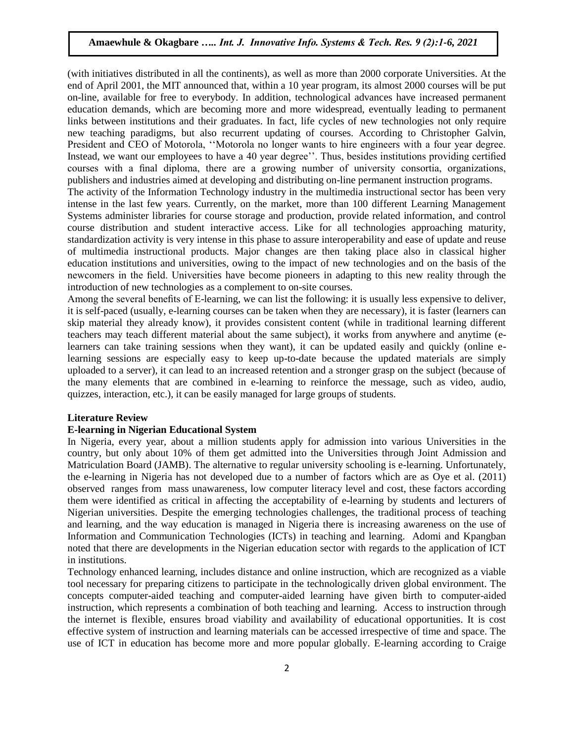## **Amaewhule & Okagbare** *….. Int. J. Innovative Info. Systems & Tech. Res. 9 (2):1-6, 2021*

(with initiatives distributed in all the continents), as well as more than 2000 corporate Universities. At the end of April 2001, the MIT announced that, within a 10 year program, its almost 2000 courses will be put on-line, available for free to everybody. In addition, technological advances have increased permanent education demands, which are becoming more and more widespread, eventually leading to permanent links between institutions and their graduates. In fact, life cycles of new technologies not only require new teaching paradigms, but also recurrent updating of courses. According to Christopher Galvin, President and CEO of Motorola, "Motorola no longer wants to hire engineers with a four year degree. Instead, we want our employees to have a 40 year degree"". Thus, besides institutions providing certified courses with a final diploma, there are a growing number of university consortia, organizations, publishers and industries aimed at developing and distributing on-line permanent instruction programs.

The activity of the Information Technology industry in the multimedia instructional sector has been very intense in the last few years. Currently, on the market, more than 100 different Learning Management Systems administer libraries for course storage and production, provide related information, and control course distribution and student interactive access. Like for all technologies approaching maturity, standardization activity is very intense in this phase to assure interoperability and ease of update and reuse of multimedia instructional products. Major changes are then taking place also in classical higher education institutions and universities, owing to the impact of new technologies and on the basis of the newcomers in the field. Universities have become pioneers in adapting to this new reality through the introduction of new technologies as a complement to on-site courses.

Among the several benefits of E-learning, we can list the following: it is usually less expensive to deliver, it is self-paced (usually, e-learning courses can be taken when they are necessary), it is faster (learners can skip material they already know), it provides consistent content (while in traditional learning different teachers may teach different material about the same subject), it works from anywhere and anytime (elearners can take training sessions when they want), it can be updated easily and quickly (online elearning sessions are especially easy to keep up-to-date because the updated materials are simply uploaded to a server), it can lead to an increased retention and a stronger grasp on the subject (because of the many elements that are combined in e-learning to reinforce the message, such as video, audio, quizzes, interaction, etc.), it can be easily managed for large groups of students.

#### **Literature Review**

#### **E-learning in Nigerian Educational System**

In Nigeria, every year, about a million students apply for admission into various Universities in the country, but only about 10% of them get admitted into the Universities through Joint Admission and Matriculation Board (JAMB). The alternative to regular university schooling is e-learning. Unfortunately, the e-learning in Nigeria has not developed due to a number of factors which are as Oye et al. (2011) observed ranges from mass unawareness, low computer literacy level and cost, these factors according them were identified as critical in affecting the acceptability of e-learning by students and lecturers of Nigerian universities. Despite the emerging technologies challenges, the traditional process of teaching and learning, and the way education is managed in Nigeria there is increasing awareness on the use of Information and Communication Technologies (ICTs) in teaching and learning. Adomi and Kpangban noted that there are developments in the Nigerian education sector with regards to the application of ICT in institutions.

Technology enhanced learning, includes distance and online instruction, which are recognized as a viable tool necessary for preparing citizens to participate in the technologically driven global environment. The concepts computer-aided teaching and computer-aided learning have given birth to computer-aided instruction, which represents a combination of both teaching and learning. Access to instruction through the internet is flexible, ensures broad viability and availability of educational opportunities. It is cost effective system of instruction and learning materials can be accessed irrespective of time and space. The use of ICT in education has become more and more popular globally. E-learning according to Craige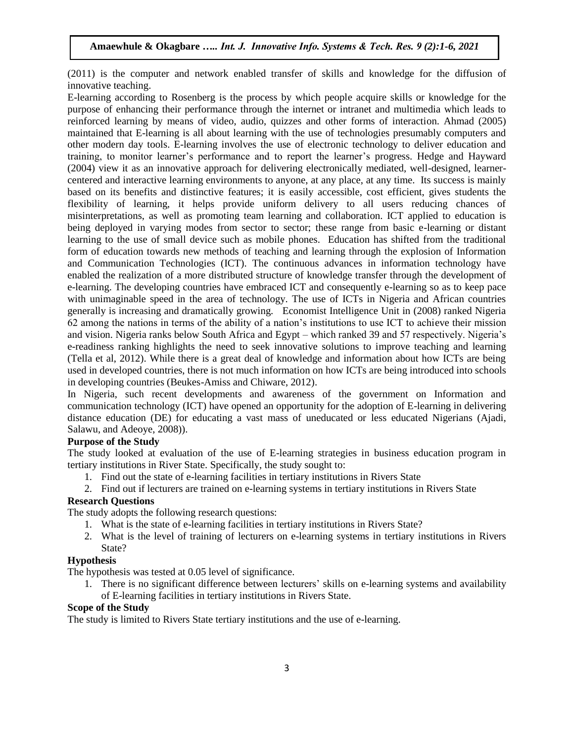(2011) is the computer and network enabled transfer of skills and knowledge for the diffusion of innovative teaching.

E-learning according to Rosenberg is the process by which people acquire skills or knowledge for the purpose of enhancing their performance through the internet or intranet and multimedia which leads to reinforced learning by means of video, audio, quizzes and other forms of interaction. Ahmad (2005) maintained that E-learning is all about learning with the use of technologies presumably computers and other modern day tools. E-learning involves the use of electronic technology to deliver education and training, to monitor learner"s performance and to report the learner"s progress. Hedge and Hayward (2004) view it as an innovative approach for delivering electronically mediated, well-designed, learnercentered and interactive learning environments to anyone, at any place, at any time. Its success is mainly based on its benefits and distinctive features; it is easily accessible, cost efficient, gives students the flexibility of learning, it helps provide uniform delivery to all users reducing chances of misinterpretations, as well as promoting team learning and collaboration. ICT applied to education is being deployed in varying modes from sector to sector; these range from basic e-learning or distant learning to the use of small device such as mobile phones. Education has shifted from the traditional form of education towards new methods of teaching and learning through the explosion of Information and Communication Technologies (ICT). The continuous advances in information technology have enabled the realization of a more distributed structure of knowledge transfer through the development of e-learning. The developing countries have embraced ICT and consequently e-learning so as to keep pace with unimaginable speed in the area of technology. The use of ICTs in Nigeria and African countries generally is increasing and dramatically growing. Economist Intelligence Unit in (2008) ranked Nigeria 62 among the nations in terms of the ability of a nation"s institutions to use ICT to achieve their mission and vision. Nigeria ranks below South Africa and Egypt – which ranked 39 and 57 respectively. Nigeria"s e-readiness ranking highlights the need to seek innovative solutions to improve teaching and learning (Tella et al, 2012). While there is a great deal of knowledge and information about how ICTs are being used in developed countries, there is not much information on how ICTs are being introduced into schools in developing countries (Beukes-Amiss and Chiware, 2012).

In Nigeria, such recent developments and awareness of the government on Information and communication technology (ICT) have opened an opportunity for the adoption of E-learning in delivering distance education (DE) for educating a vast mass of uneducated or less educated Nigerians (Ajadi, Salawu, and Adeoye, 2008)).

## **Purpose of the Study**

The study looked at evaluation of the use of E-learning strategies in business education program in tertiary institutions in River State. Specifically, the study sought to:

- 1. Find out the state of e-learning facilities in tertiary institutions in Rivers State
- 2. Find out if lecturers are trained on e-learning systems in tertiary institutions in Rivers State

## **Research Questions**

The study adopts the following research questions:

- 1. What is the state of e-learning facilities in tertiary institutions in Rivers State?
- 2. What is the level of training of lecturers on e-learning systems in tertiary institutions in Rivers State?

## **Hypothesis**

The hypothesis was tested at 0.05 level of significance.

1. There is no significant difference between lecturers' skills on e-learning systems and availability of E-learning facilities in tertiary institutions in Rivers State.

#### **Scope of the Study**

The study is limited to Rivers State tertiary institutions and the use of e-learning.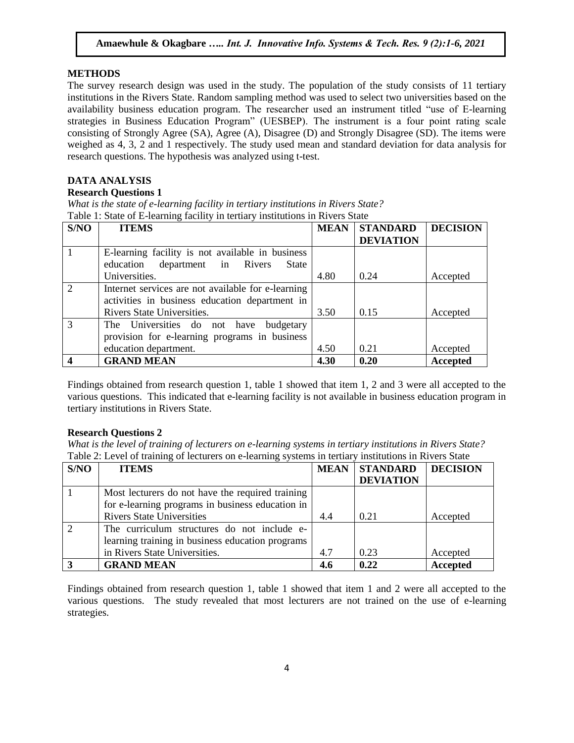# **METHODS**

The survey research design was used in the study. The population of the study consists of 11 tertiary institutions in the Rivers State. Random sampling method was used to select two universities based on the availability business education program. The researcher used an instrument titled "use of E-learning strategies in Business Education Program" (UESBEP). The instrument is a four point rating scale consisting of Strongly Agree (SA), Agree (A), Disagree (D) and Strongly Disagree (SD). The items were weighed as 4, 3, 2 and 1 respectively. The study used mean and standard deviation for data analysis for research questions. The hypothesis was analyzed using t-test.

# **DATA ANALYSIS**

## **Research Questions 1**

*What is the state of e-learning facility in tertiary institutions in Rivers State?* Table 1: State of E-learning facility in tertiary institutions in Rivers State

| S/NO | <b>ITEMS</b>                                       | <b>MEAN</b> | <b>STANDARD</b>  | <b>DECISION</b> |
|------|----------------------------------------------------|-------------|------------------|-----------------|
|      |                                                    |             | <b>DEVIATION</b> |                 |
|      | E-learning facility is not available in business   |             |                  |                 |
|      | education department in Rivers<br>State            |             |                  |                 |
|      | Universities.                                      | 4.80        | 0.24             | Accepted        |
| 2    | Internet services are not available for e-learning |             |                  |                 |
|      | activities in business education department in     |             |                  |                 |
|      | Rivers State Universities.                         | 3.50        | 0.15             | Accepted        |
| 3    | The Universities do not have<br>budgetary          |             |                  |                 |
|      | provision for e-learning programs in business      |             |                  |                 |
|      | education department.                              | 4.50        | 0.21             | Accepted        |
|      | <b>GRAND MEAN</b>                                  | 4.30        | 0.20             | <b>Accepted</b> |

Findings obtained from research question 1, table 1 showed that item 1, 2 and 3 were all accepted to the various questions. This indicated that e-learning facility is not available in business education program in tertiary institutions in Rivers State.

#### **Research Questions 2**

*What is the level of training of lecturers on e-learning systems in tertiary institutions in Rivers State?* Table 2: Level of training of lecturers on e-learning systems in tertiary institutions in Rivers State

| S/NO           | <b>ITEMS</b>                                     | <b>MEAN</b> | <b>STANDARD</b>  | <b>DECISION</b> |
|----------------|--------------------------------------------------|-------------|------------------|-----------------|
|                |                                                  |             | <b>DEVIATION</b> |                 |
|                | Most lecturers do not have the required training |             |                  |                 |
|                | for e-learning programs in business education in |             |                  |                 |
|                | <b>Rivers State Universities</b>                 | 4.4         | 0.21             | Accepted        |
| $\overline{2}$ | The curriculum structures do not include e-      |             |                  |                 |
|                | learning training in business education programs |             |                  |                 |
|                | in Rivers State Universities.                    | 4.7         | 0.23             | Accepted        |
|                | <b>GRAND MEAN</b>                                | 4.6         | 0.22             | <b>Accepted</b> |

Findings obtained from research question 1, table 1 showed that item 1 and 2 were all accepted to the various questions. The study revealed that most lecturers are not trained on the use of e-learning strategies.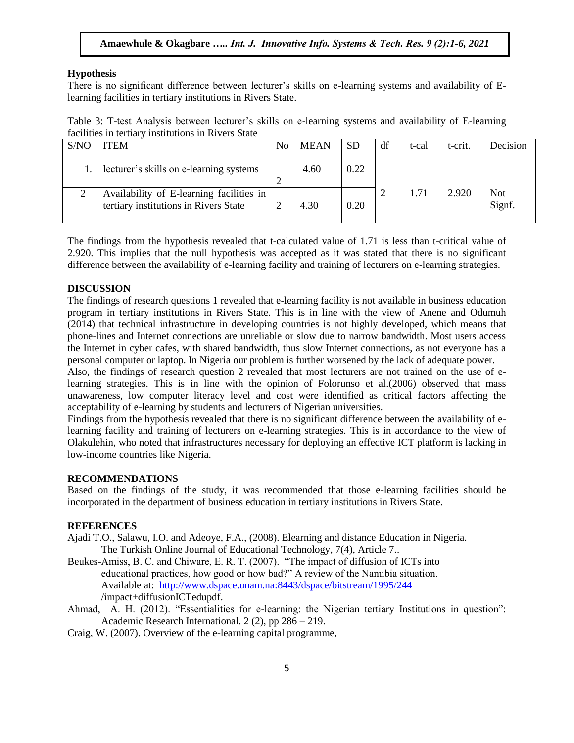# **Amaewhule & Okagbare** *….. Int. J. Innovative Info. Systems & Tech. Res. 9 (2):1-6, 2021*

#### **Hypothesis**

There is no significant difference between lecturer"s skills on e-learning systems and availability of Elearning facilities in tertiary institutions in Rivers State.

| Table 3: T-test Analysis between lecturer's skills on e-learning systems and availability of E-learning |  |  |  |  |
|---------------------------------------------------------------------------------------------------------|--|--|--|--|
| facilities in tertiary institutions in Rivers State                                                     |  |  |  |  |

| S/NO | <b>ITEM</b>                                                                       | N <sub>0</sub> | <b>MEAN</b> | <b>SD</b> | df | t-cal | t-crit. | Decision             |
|------|-----------------------------------------------------------------------------------|----------------|-------------|-----------|----|-------|---------|----------------------|
|      | lecturer's skills on e-learning systems                                           |                | 4.60        | 0.22      |    |       |         |                      |
|      | Availability of E-learning facilities in<br>tertiary institutions in Rivers State |                | 4.30        | 0.20      |    | 1.71  | 2.920   | <b>Not</b><br>Signf. |

The findings from the hypothesis revealed that t-calculated value of 1.71 is less than t-critical value of 2.920. This implies that the null hypothesis was accepted as it was stated that there is no significant difference between the availability of e-learning facility and training of lecturers on e-learning strategies.

#### **DISCUSSION**

The findings of research questions 1 revealed that e-learning facility is not available in business education program in tertiary institutions in Rivers State. This is in line with the view of Anene and Odumuh (2014) that technical infrastructure in developing countries is not highly developed, which means that phone-lines and Internet connections are unreliable or slow due to narrow bandwidth. Most users access the Internet in cyber cafes, with shared bandwidth, thus slow Internet connections, as not everyone has a personal computer or laptop. In Nigeria our problem is further worsened by the lack of adequate power.

Also, the findings of research question 2 revealed that most lecturers are not trained on the use of elearning strategies. This is in line with the opinion of Folorunso et al.(2006) observed that mass unawareness, low computer literacy level and cost were identified as critical factors affecting the acceptability of e-learning by students and lecturers of Nigerian universities.

Findings from the hypothesis revealed that there is no significant difference between the availability of elearning facility and training of lecturers on e-learning strategies. This is in accordance to the view of Olakulehin, who noted that infrastructures necessary for deploying an effective ICT platform is lacking in low-income countries like Nigeria.

#### **RECOMMENDATIONS**

Based on the findings of the study, it was recommended that those e-learning facilities should be incorporated in the department of business education in tertiary institutions in Rivers State.

## **REFERENCES**

- Ajadi T.O., Salawu, I.O. and Adeoye, F.A., (2008). Elearning and distance Education in Nigeria. The Turkish Online Journal of Educational Technology, 7(4), Article 7..
- Beukes-Amiss, B. C. and Chiware, E. R. T. (2007). "The impact of diffusion of ICTs into educational practices, how good or how bad?" A review of the Namibia situation. Available at: <http://www.dspace.unam.na:8443/dspace/bitstream/1995/244> /impact+diffusionICTedupdf.
- Ahmad, A. H. (2012). "Essentialities for e-learning: the Nigerian tertiary Institutions in question": Academic Research International. 2 (2), pp 286 – 219.
- Craig, W. (2007). Overview of the e-learning capital programme,